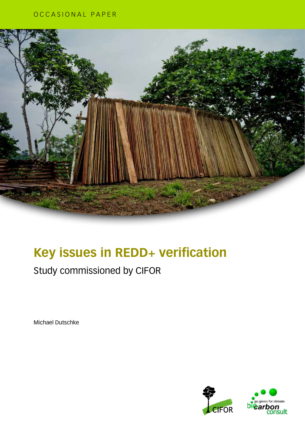### OCCASIONAL PAPER



## **Key issues in REDD+ verification**

### Study commissioned by CIFOR

Michael Dutschke

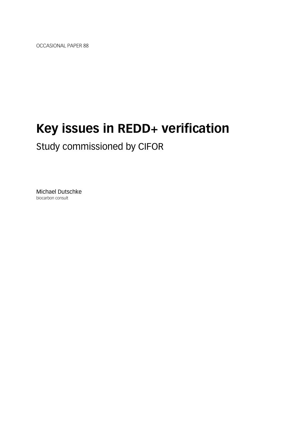OCCASIONAL PAPER 88

## **Key issues in REDD+ verification**

Study commissioned by CIFOR

Michael Dutschke biocarbon consult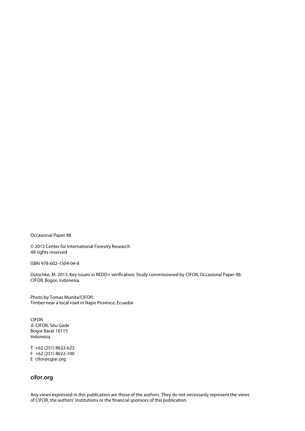Occasional Paper 88

© 2013 Center for International Forestry Research All rights reserved

ISBN 978-602-1504-04-8

Dutschke, M. 2013. Key issues in REDD+ verification: Study commissioned by CIFOR. Occasional Paper 88. CIFOR, Bogor, Indonesia.

Photo by Tomas Munita/CIFOR Timber near a local road in Napo Province, Ecuador

CIFOR Jl. CIFOR, Situ Gede Bogor Barat 16115 Indonesia

T +62 (251) 8622-622 F +62 (251) 8622-100 E cifor@cgiar.org

### **cifor.org**

Any views expressed in this publication are those of the authors. They do not necessarily represent the views of CIFOR, the authors' institutions or the financial sponsors of this publication.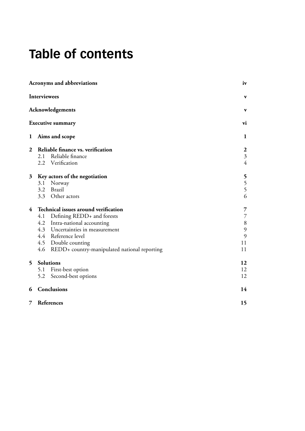### **Table of contents**

| Acronyms and abbreviations |                                      |                                                  | iv                               |
|----------------------------|--------------------------------------|--------------------------------------------------|----------------------------------|
|                            | <b>Interviewees</b>                  |                                                  | $\mathbf{v}$                     |
| Acknowledgements           |                                      |                                                  |                                  |
|                            |                                      | <b>Executive summary</b>                         | vi                               |
| $\mathbf 1$                |                                      | Aims and scope                                   | 1                                |
| $\boldsymbol{2}$           |                                      | Reliable finance vs. verification                | $\boldsymbol{2}$                 |
|                            |                                      | 2.1 Reliable finance<br>2.2 Verification         | $\overline{3}$<br>$\overline{4}$ |
| 3                          | Key actors of the negotiation        |                                                  | 5                                |
|                            |                                      | 3.1 Norway                                       |                                  |
|                            |                                      | 3.2 Brazil                                       | $\frac{5}{5}$                    |
|                            |                                      | 3.3 Other actors                                 | 6                                |
| $\overline{4}$             | Technical issues around verification |                                                  | 7                                |
|                            |                                      | 4.1 Defining REDD+ and forests                   | $\overline{7}$                   |
|                            |                                      | 4.2 Intra-national accounting                    | $8\,$                            |
|                            |                                      | 4.3 Uncertainties in measurement                 | 9                                |
|                            |                                      | 4.4 Reference level                              | 9                                |
|                            |                                      | 4.5 Double counting                              | 11                               |
|                            |                                      | 4.6 REDD+ country-manipulated national reporting | 11                               |
| 5                          | Solutions                            |                                                  | 12                               |
|                            |                                      | 5.1 First-best option                            | 12                               |
|                            | 5.2                                  | Second-best options                              | 12                               |
| 6                          |                                      | Conclusions                                      | 14                               |
| 7                          |                                      | References                                       | 15                               |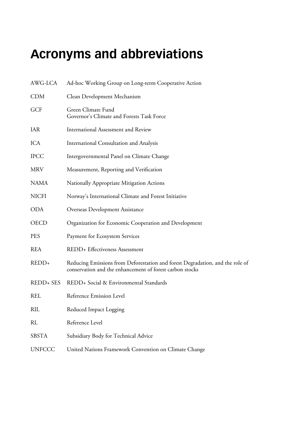## <span id="page-5-0"></span>**Acronyms and abbreviations**

| AWG-LCA       | Ad-hoc Working Group on Long-term Cooperative Action                                                                                      |
|---------------|-------------------------------------------------------------------------------------------------------------------------------------------|
| <b>CDM</b>    | Clean Development Mechanism                                                                                                               |
| <b>GCF</b>    | Green Climate Fund<br>Governor's Climate and Forests Task Force                                                                           |
| IAR           | International Assessment and Review                                                                                                       |
| ICA           | International Consultation and Analysis                                                                                                   |
| <b>IPCC</b>   | Intergovernmental Panel on Climate Change                                                                                                 |
| <b>MRV</b>    | Measurement, Reporting and Verification                                                                                                   |
| <b>NAMA</b>   | Nationally Appropriate Mitigation Actions                                                                                                 |
| <b>NICFI</b>  | Norway's International Climate and Forest Initiative                                                                                      |
| <b>ODA</b>    | Overseas Development Assistance                                                                                                           |
| <b>OECD</b>   | Organization for Economic Cooperation and Development                                                                                     |
| <b>PES</b>    | Payment for Ecosystem Services                                                                                                            |
| <b>REA</b>    | REDD+ Effectiveness Assessment                                                                                                            |
| REDD+         | Reducing Emissions from Deforestation and forest Degradation, and the role of<br>conservation and the enhancement of forest carbon stocks |
| REDD+ SES     | REDD+ Social & Environmental Standards                                                                                                    |
| <b>REL</b>    | Reference Emission Level                                                                                                                  |
| <b>RIL</b>    | Reduced Impact Logging                                                                                                                    |
| <b>RL</b>     | Reference Level                                                                                                                           |
| <b>SBSTA</b>  | Subsidiary Body for Technical Advice                                                                                                      |
| <b>UNFCCC</b> | United Nations Framework Convention on Climate Change                                                                                     |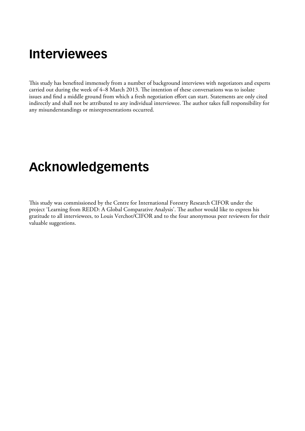### <span id="page-6-0"></span>**Interviewees**

This study has benefited immensely from a number of background interviews with negotiators and experts carried out during the week of 4–8 March 2013. The intention of these conversations was to isolate issues and find a middle ground from which a fresh negotiation effort can start. Statements are only cited indirectly and shall not be attributed to any individual interviewee. The author takes full responsibility for any misunderstandings or misrepresentations occurred.

### **Acknowledgements**

This study was commissioned by the Centre for International Forestry Research CIFOR under the project 'Learning from REDD: A Global Comparative Analysis'. The author would like to express his gratitude to all interviewees, to Louis Verchot/CIFOR and to the four anonymous peer reviewers for their valuable suggestions.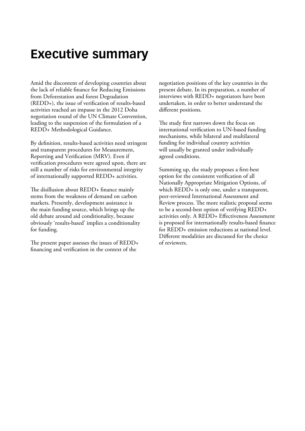### <span id="page-7-0"></span>**Executive summary**

Amid the discontent of developing countries about the lack of reliable finance for Reducing Emissions from Deforestation and forest Degradation  $(REDD<sub>+</sub>)$ , the issue of verification of results-based activities reached an impasse in the 2012 Doha negotiation round of the UN Climate Convention, leading to the suspension of the formulation of a REDD+ Methodological Guidance.

By definition, results-based activities need stringent and transparent procedures for Measurement, Reporting and Verification (MRV). Even if verification procedures were agreed upon, there are still a number of risks for environmental integrity of internationally supported REDD+ activities.

The disillusion about REDD+ finance mainly stems from the weakness of demand on carbon markets. Presently, development assistance is the main funding source, which brings up the old debate around aid conditionality, because obviously 'results‑based' implies a conditionality for funding.

The present paper assesses the issues of REDD+ financing and verification in the context of the

negotiation positions of the key countries in the present debate. In its preparation, a number of interviews with REDD+ negotiators have been undertaken, in order to better understand the different positions.

The study first narrows down the focus on international verification to UN‑based funding mechanisms, while bilateral and multilateral funding for individual country activities will usually be granted under individually agreed conditions.

Summing up, the study proposes a first-best option for the consistent verification of all Nationally Appropriate Mitigation Options, of which REDD+ is only one, under a transparent, peer‑reviewed International Assessment and Review process. The more realistic proposal seems to be a second-best option of verifying REDD+ activities only. A REDD+ Effectiveness Assessment is proposed for internationally results-based finance for REDD+ emission reductions at national level. Different modalities are discussed for the choice of reviewers.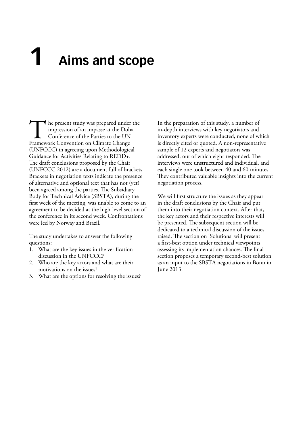## <span id="page-8-0"></span>**1 Aims and scope**

The present study was prepared under the impression of an impasse at the Doha<br>Conference of the Parties to the UN<br>Framework Convention on Climate Change impression of an impasse at the Doha Conference of the Parties to the UN (UNFCCC) in agreeing upon Methodological Guidance for Activities Relating to REDD+. The draft conclusions proposed by the Chair (UNFCCC 2012) are a document full of brackets. Brackets in negotiation texts indicate the presence of alternative and optional text that has not (yet) been agreed among the parties. The Subsidiary Body for Technical Advice (SBSTA), during the first week of the meeting, was unable to come to an agreement to be decided at the high-level section of the conference in its second week. Confrontations were led by Norway and Brazil.

The study undertakes to answer the following questions:

- 1. What are the key issues in the verification discussion in the UNFCCC?
- 2. Who are the key actors and what are their motivations on the issues?
- 3. What are the options for resolving the issues?

In the preparation of this study, a number of in‑depth interviews with key negotiators and inventory experts were conducted, none of which is directly cited or quoted. A non-representative sample of 12 experts and negotiators was addressed, out of which eight responded. The interviews were unstructured and individual, and each single one took between 40 and 60 minutes. They contributed valuable insights into the current negotiation process.

We will first structure the issues as they appear in the draft conclusions by the Chair and put them into their negotiation context. After that, the key actors and their respective interests will be presented. The subsequent section will be dedicated to a technical discussion of the issues raised. The section on 'Solutions' will present a first‑best option under technical viewpoints assessing its implementation chances. The final section proposes a temporary second-best solution as an input to the SBSTA negotiations in Bonn in June 2013.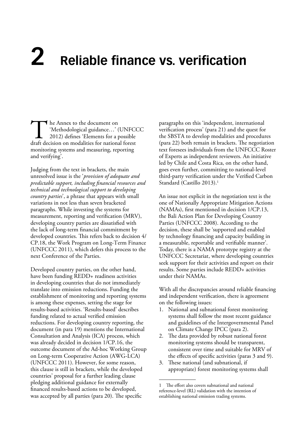## <span id="page-9-0"></span>**2 Reliable finance vs. verification**

The Annex to the document on<br>
'Methodological guidance...' (UNFCO)<br>
2012) defines 'Elements for a possible<br>
draft decision on modalities for national forest 'Methodological guidance…' (UNFCCC 2012) defines 'Elements for a possible monitoring systems and measuring, reporting and verifying'.

Judging from the text in brackets, the main unresolved issue is the '*provision of adequate and predictable support, including financial resources and technical and technological support to developing country parties*', a phrase that appears with small variations in not less than seven bracketed paragraphs. While investing the systems for measurement, reporting and verification (MRV), developing country parties are dissatisfied with the lack of long‑term financial commitment by developed countries. This refers back to decision 4/ CP.18, the Work Program on Long‑Term Finance (UNFCCC 2011), which defers this process to the next Conference of the Parties.

Developed country parties, on the other hand, have been funding REDD+ readiness activities in developing countries that do not immediately translate into emission reductions. Funding the establishment of monitoring and reporting systems is among these expenses, setting the stage for results‑based activities. 'Results‑based' describes funding related to actual verified emission reductions. For developing country reporting, the document (in para 19) mentions the International Consultation and Analysis (ICA) process, which was already decided in decision 1/CP.16, the outcome document of the Ad‑hoc Working Group on Long‑term Cooperative Action (AWG‑LCA) (UNFCCC 2011). However, for some reason, this clause is still in brackets, while the developed countries' proposal for a further leading clause pledging additional guidance for externally financed results‑based actions to be developed, was accepted by all parties (para 20). The specific

paragraphs on this 'independent, international verification process' (para 21) and the quest for the SBSTA to develop modalities and procedures (para 22) both remain in brackets. The negotiation text foresees individuals from the UNFCCC Roster of Experts as independent reviewers. An initiative led by Chile and Costa Rica, on the other hand, goes even further, committing to national‑level third‑party verification under the Verified Carbon Standard (Castillo 2013).<sup>1</sup>

An issue not explicit in the negotiation text is the one of Nationally Appropriate Mitigation Actions (NAMAs), first mentioned in decision 1/CP.13, the Bali Action Plan for Developing Country Parties (UNFCCC 2008). According to the decision, these shall be 'supported and enabled by technology financing and capacity building in a measurable, reportable and verifiable manner'. Today, there is a NAMA prototype registry at the UNFCCC Secretariat, where developing countries seek support for their activities and report on their results. Some parties include REDD+ activities under their NAMAs.

With all the discrepancies around reliable financing and independent verification, there is agreement on the following issues:

- 1. National and subnational forest monitoring systems shall follow the most recent guidance and guidelines of the Intergovernmental Panel on Climate Change IPCC (para 2).
- 2. The data provided by robust national forest monitoring systems should be transparent, consistent over time and suitable for MRV of the effects of specific activities (paras 3 and 9).
- 3. These national (and subnational, if appropriate) forest monitoring systems shall

<sup>1</sup> The effort also covers subnational and national reference‑level (RL) validation with the intention of establishing national emission trading systems.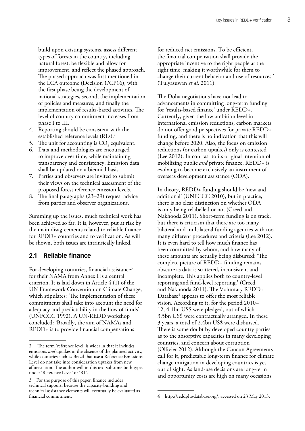<span id="page-10-0"></span>build upon existing systems, assess different types of forests in the country, including natural forest, be flexible and allow for improvement, and reflect the phased approach. The phased approach was first mentioned in the LCA outcome (Decision 1/CP16), with the first phase being the development of national strategies, second, the implementation of policies and measures, and finally the implementation of results-based activities. The level of country commitment increases from phase I to III.

- 4. Reporting should be consistent with the established reference levels (RLs).2
- 5. The unit for accounting is  $CO<sub>2</sub>$  equivalent.
- 6. Data and methodologies are encouraged to improve over time, while maintaining transparency and consistency. Emission data shall be updated on a biennial basis.
- 7. Parties and observers are invited to submit their views on the technical assessment of the proposed forest reference emission levels.
- 8. The final paragraphs (23–29) request advice from parties and observer organizations.

Summing up the issues, much technical work has been achieved so far. It is, however, put at risk by the main disagreements related to reliable finance for REDD+ countries and to verification. As will be shown, both issues are intrinsically linked.

#### **2.1 Reliable finance**

For developing countries, financial assistance<sup>3</sup> for their NAMA from Annex I is a central criterion. It is laid down in Article 4 (1) of the UN Framework Convention on Climate Change, which stipulates: 'The implementation of these commitments shall take into account the need for adequacy and predictability in the flow of funds' (UNFCCC 1992). A UN‑REDD workshop concluded: 'Broadly, the aim of NAMAs and REDD+ is to provide financial compensations

for reduced net emissions. To be efficient, the financial compensation shall provide the appropriate incentive to the right people at the right time, making it worthwhile for them to change their current behavior and use of resources.' (Tulyasuwan *et al*. 2011).

The Doha negotiations have not lead to advancements in committing long‑term funding for 'results‑based finance' under REDD+. Currently, given the low ambition level in international emission reductions, carbon markets do not offer good perspectives for private REDD+ funding, and there is no indication that this will change before 2020. Also, the focus on emission reductions (or carbon uptakes) only is contested [\(Lee 2012\)](file:///Volumes/Multimedia/User/Jacob/Project/%23024-SBSTA%20paper/doc/data/024c/l ). In contrast to its original intention of mobilizing public *and* private finance, REDD+ is evolving to become exclusively an instrument of overseas development assistance (ODA).

In theory, REDD+ funding should be 'new and additional' (UNFCCC 2010), but in practice, there is no clear distinction on whether ODA is only being relabelled or not (Creed and Nakhooda 2011). Short-term funding is on track, but there is criticism that there are too many bilateral and multilateral funding agencies with too many different procedures and criteria (Lee 2012). It is even hard to tell how much finance has been committed by whom, and how many of these amounts are actually being disbursed: 'The complete picture of REDD+ funding remains obscure as data is scattered, inconsistent and incomplete. This applies both to country‑level reporting and fund‑level reporting.' (Creed and Nakhooda 2011). The Voluntary REDD+ Database<sup>4</sup> appears to offer the most reliable vision. According to it, for the period 2010– 12, 4.1bn US\$ were pledged, out of which 3.5bn US\$ were contractually arranged. In these 3 years, a total of 2.4bn US\$ were disbursed. There is some doubt by developed country parties as to the absorptive capacities in many developing countries, and concern about corruption (Ollivier 2012). Although the Cancun Agreements call for it, predictable long‑term finance for climate change mitigation in developing countries is yet out of sight. As land‑use decisions are long‑term and opportunity costs are high on many occasions

<sup>2</sup> The term 'reference level' is wider in that it includes emissions *and* uptakes in the absence of the planned activity, while countries such as Brazil that use a Reference Emissions Level do not take into consideration uptakes from new afforestation. The author will in this text subsume both types under 'Reference Level' or 'RL'.

<sup>3</sup> For the purpose of this paper, finance includes technical support, because the capacity‑building and technical assistance elements will eventually be evaluated as financial commitment.

<sup>4</sup> [http://reddplusdatabase.org/,](http://reddplusdatabase.org/) accessed on 23 May 2013.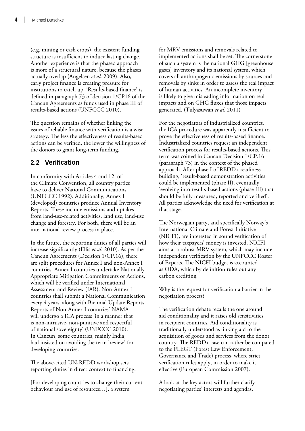<span id="page-11-0"></span>(e.g. mining or cash crops), the existent funding structure is insufficient to induce lasting change. Another experience is that the phased approach is more of a structural nature, because the phases actually overlap (Angelsen *et al*. 2009). Also, early project finance is creating pressure for institutions to catch up. 'Results-based finance' is defined in paragraph 73 of decision 1/CP16 of the Cancun Agreements as funds used in phase III of results‑based actions (UNFCCC 2010).

The question remains of whether linking the issues of reliable finance with verification is a wise strategy. The less the effectiveness of results-based actions can be verified, the lower the willingness of the donors to grant long‑term funding.

### **2.2 Verification**

In conformity with Articles 4 and 12, of the Climate Convention, all country parties have to deliver National Communications (UNFCCC 1992). Additionally, Annex I (developed) countries produce Annual Inventory Reports. These include emissions and uptakes from land‑use‑related activities, land use, land‑use change and forestry. For both, there will be an international review process in place.

In the future, the reporting duties of all parties will increase significantly (Ellis *et al*. 2010). As per the Cancun Agreements (Decision 1/CP.16), there are split procedures for Annex I and non‑Annex I countries. Annex I countries undertake Nationally Appropriate Mitigation Commitments or Actions, which will be verified under International Assessment and Review (IAR). Non‑Annex I countries shall submit a National Communication every 4 years, along with Biennial Update Reports. Reports of Non‑Annex I countries' NAMA will undergo a ICA process 'in a manner that is non‑intrusive, non‑punitive and respectful of national sovereignty' (UNFCCC 2010). In Cancun, some countries, mainly India, had insisted on avoiding the term 'review' for developing countries.

The above-cited UN-REDD workshop sets reporting duties in direct context to financing:

[For developing countries to change their current behaviour and use of resources…], a system

for MRV emissions and removals related to implemented actions shall be set. The cornerstone of such a system is the national GHG [greenhouse gases] inventory and its national system, which covers all anthropogenic emissions by sources and removals by sinks in order to assess the real impact of human activities. An incomplete inventory is likely to give misleading information on real impacts and on GHG fluxes that those impacts generated. (Tulyasuwan *et al*. 2011)

For the negotiators of industrialized countries, the ICA procedure was apparently insufficient to prove the effectiveness of results-based finance. Industrialized countries request an independent verification process for results‑based actions. This term was coined in Cancun Decision 1/CP.16 (paragraph 73) in the context of the phased approach. After phase I of REDD+ readiness building, 'result-based demonstration activities' could be implemented (phase II), eventually 'evolving into results‑based actions (phase III) that should be fully measured, reported and verified'. All parties acknowledge the need for verification at that stage.

The Norwegian party, and specifically Norway's International Climate and Forest Initiative (NICFI), are interested in sound verification of how their taxpayers' money is invested. NICFI aims at a robust MRV system, which may include independent verification by the UNFCCC Roster of Experts. The NICFI budget is accounted as ODA, which by definition rules out any carbon crediting.

Why is the request for verification a barrier in the negotiation process?

The verification debate recalls the one around aid conditionality and it raises old sensitivities in recipient countries. Aid conditionality is traditionally understood as linking aid to the acquisition of goods and services from the donor country. The REDD+ case can rather be compared to the FLEGT (Forest Law Enforcement, Governance and Trade) process, where strict verification rules apply, in order to make it effective (European Commission 2007).

A look at the key actors will further clarify negotiating parties' interests and agendas.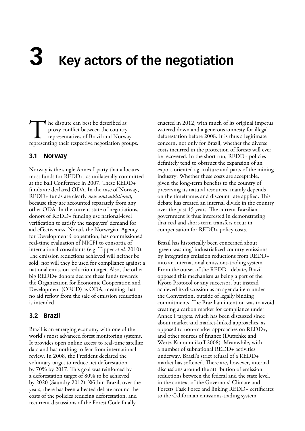# <span id="page-12-0"></span>**3 Key actors of the negotiation**

The dispute can best be described as<br>
proxy conflict between the country<br>
representatives of Brazil and Norway<br>
representing their respective negotiation groups. proxy conflict between the country representatives of Brazil and Norway

### **3.1 Norway**

Norway is the single Annex I party that allocates most funds for REDD+, as unilaterally committed at the Bali Conference in 2007. These REDD+ funds are declared ODA. In the case of Norway, REDD+ funds are clearly *new and additional*, because they are accounted separately from any other ODA. In the current state of negotiations, donors of REDD+ funding use national‑level verification to satisfy the taxpayers' demand for aid effectiveness. Norad, the Norwegian Agency for Development Cooperation, has commissioned real‑time evaluation of NICFI to consortia of international consultants (e.g. Tipper *et al*. 2010). The emission reductions achieved will neither be sold, nor will they be used for compliance against a national emission reduction target. Also, the other big REDD+ donors declare these funds towards the Organization for Economic Cooperation and Development (OECD) as ODA, meaning that no aid reflow from the sale of emission reductions is intended.

### **3.2 Brazil**

Brazil is an emerging economy with one of the world's most advanced forest monitoring systems. It provides open online access to real-time satellite data and has nothing to fear from international review. In 2008, the President declared the voluntary target to reduce net deforestation by 70% by 2017. This goal was reinforced by a deforestation target of 80% to be achieved by 2020 (Saundry 2012). Within Brazil, over the years, there has been a heated debate around the costs of the policies reducing deforestation, and recurrent discussions of the Forest Code finally

enacted in 2012, with much of its original impetus watered down and a generous amnesty for illegal deforestation before 2008. It is thus a legitimate concern, not only for Brazil, whether the diverse costs incurred in the protection of forests will ever be recovered. In the short run, REDD+ policies definitely tend to obstruct the expansion of an export‑oriented agriculture and parts of the mining industry. Whether these costs are acceptable, given the long‑term benefits to the country of preserving its natural resources, mainly depends on the timeframes and discount rate applied. This debate has created an internal divide in the country over the past 15 years. The current Brazilian government is thus interested in demonstrating that real and short‑term transfers occur in compensation for REDD+ policy costs.

Brazil has historically been concerned about 'green‑washing' industrialized country emissions by integrating emission reductions from REDD+ into an international emissions-trading system. From the outset of the REDD+ debate, Brazil opposed this mechanism as being a part of the Kyoto Protocol or any successor, but instead achieved its discussion as an agenda item under the Convention, outside of legally binding commitments. The Brazilian intention was to avoid creating a carbon market for compliance under Annex I targets. Much has been discussed since about market and market‑linked approaches, as opposed to non‑market approaches on REDD+, and other sources of finance (Dutschke and Wertz‑Kanounnikoff 2008). Meanwhile, with a number of subnational REDD+ activities underway, Brazil's strict refusal of a REDD+ market has softened. There are, however, internal discussions around the attribution of emission reductions between the federal and the state level, in the context of the Governors' Climate and Forests Task Force and linking REDD+ certificates to the Californian emissions-trading system.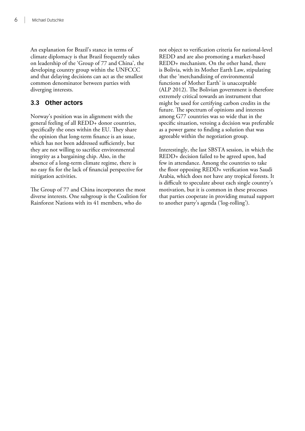<span id="page-13-0"></span>An explanation for Brazil's stance in terms of climate diplomacy is that Brazil frequently takes on leadership of the 'Group of 77 and China', the developing country group within the UNFCCC and that delaying decisions can act as the smallest common denominator between parties with diverging interests.

### **3.3 Other actors**

Norway's position was in alignment with the general feeling of all REDD+ donor countries, specifically the ones within the EU. They share the opinion that long‑term finance is an issue, which has not been addressed sufficiently, but they are not willing to sacrifice environmental integrity as a bargaining chip. Also, in the absence of a long‑term climate regime, there is no easy fix for the lack of financial perspective for mitigation activities.

The Group of 77 and China incorporates the most diverse interests. One subgroup is the Coalition for Rainforest Nations with its 41 members, who do

not object to verification criteria for national-level REDD and are also promoting a market-based REDD+ mechanism. On the other hand, there is Bolivia, with its Mother Earth Law, stipulating that the 'merchandizing of environmental functions of Mother Earth' is unacceptable (ALP 2012). The Bolivian government is therefore extremely critical towards an instrument that might be used for certifying carbon credits in the future. The spectrum of opinions and interests among G77 countries was so wide that in the specific situation, vetoing a decision was preferable as a power game to finding a solution that was agreeable within the negotiation group.

Interestingly, the last SBSTA session, in which the REDD+ decision failed to be agreed upon, had few in attendance. Among the countries to take the floor opposing REDD+ verification was Saudi Arabia, which does not have any tropical forests. It is difficult to speculate about each single country's motivation, but it is common in these processes that parties cooperate in providing mutual support to another party's agenda ('log-rolling').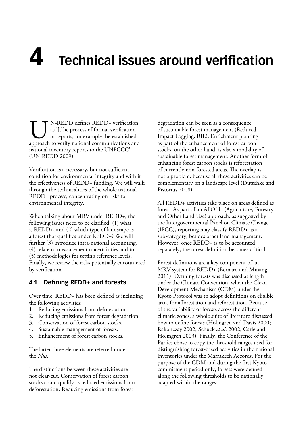## <span id="page-14-0"></span>**4 Technical issues around verification**

**UN**-REDD defines REDD+ verification as '[t]he process of formal verification of reports, for example the established approach to verify national communications and as '[t]he process of formal verification of reports, for example the established national inventory reports to the UNFCCC' (UN‑REDD 2009).

Verification is a necessary, but not sufficient condition for environmental integrity and with it the effectiveness of REDD+ funding. We will walk through the technicalities of the whole national REDD+ process, concentrating on risks for environmental integrity.

When talking about MRV under REDD+, the following issues need to be clarified: (1) what is REDD+, and (2) which type of landscape is a forest that qualifies under REDD+? We will further (3) introduce intra-national accounting, (4) relate to measurement uncertainties and to (5) methodologies for setting reference levels. Finally, we review the risks potentially encountered by verification.

#### **4.1 Defining REDD+ and forests**

Over time, REDD+ has been defined as including the following activities:

- 1. Reducing emissions from deforestation.
- 2. Reducing emissions from forest degradation.
- 3. Conservation of forest carbon stocks.
- 4. Sustainable management of forests.
- 5. Enhancement of forest carbon stocks.

The latter three elements are referred under the *Plus*.

The distinctions between these activities are not clear‑cut. Conservation of forest carbon stocks could qualify as reduced emissions from deforestation. Reducing emissions from forest

degradation can be seen as a consequence of sustainable forest management (Reduced Impact Logging, RIL). Enrichment planting as part of the enhancement of forest carbon stocks, on the other hand, is also a modality of sustainable forest management. Another form of enhancing forest carbon stocks is reforestation of currently non‑forested areas. The overlap is not a problem, because all these activities can be complementary on a landscape level (Dutschke and Pistorius 2008).

All REDD+ activities take place on areas defined as forest. As part of an AFOLU (Agriculture, Forestry and Other Land Use) approach, as suggested by the Intergovernmental Panel on Climate Change (IPCC), reporting may classify REDD+ as a sub-category, besides other land management. However, once REDD+ is to be accounted separately, the forest definition becomes critical.

Forest definitions are a key component of an MRV system for REDD+ (Bernard and Minang 2011). Defining forests was discussed at length under the Climate Convention, when the Clean Development Mechanism (CDM) under the Kyoto Protocol was to adopt definitions on eligible areas for afforestation and reforestation. Because of the variability of forests across the different climatic zones, a whole suite of literature discussed how to define forests (Holmgren and Davis 2000; [Rakonczay 2002](file:///Volumes/Multimedia/User/Jacob/Project/%23024-SBSTA%20paper/doc/data/024c/_ENREF_24); Schuck *et al*. 2002; Carle and Holmgren 2003). Finally, the Conference of the Parties chose to copy the threshold ranges used for distinguishing forest‑based activities in the national inventories under the Marrakech Accords. For the purpose of the CDM and during the first Kyoto commitment period only, forests were defined along the following thresholds to be nationally adapted within the ranges: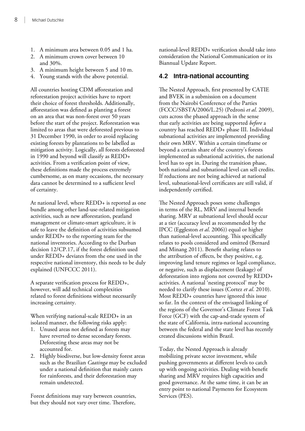- <span id="page-15-0"></span>1. A minimum area between 0.05 and 1 ha.
- 2. A minimum crown cover between 10 and 30%.
- 3. A minimum height between 5 and 10 m.
- 4. Young stands with the above potential.

All countries hosting CDM afforestation and reforestation project activities have to report their choice of forest thresholds. Additionally, afforestation was defined as planting a forest on an area that was non‑forest over 50 years before the start of the project. Reforestation was limited to areas that were deforested previous to 31 December 1990, in order to avoid replacing existing forests by plantations to be labelled as mitigation activity. Logically, all forests deforested in 1990 and beyond will classify as REDD+ activities. From a verification point of view, these definitions made the process extremely cumbersome, as on many occasions, the necessary data cannot be determined to a sufficient level of certainty.

At national level, where REDD+ is reported as one bundle among other land‑use‑related mitigation activities, such as new afforestation, peatland management or climate-smart agriculture, it is safe to leave the definition of activities subsumed under REDD+ to the reporting team for the national inventories. According to the Durban decision 12/CP.17, if the forest definition used under REDD+ deviates from the one used in the respective national inventory, this needs to be duly explained (UNFCCC 2011).

A separate verification process for REDD+, however, will add technical complexities related to forest definitions without necessarily increasing certainty.

When verifying national-scale REDD+ in an isolated manner, the following risks apply:

- 1. Unused areas not defined as forests may have reverted to dense secondary forests. Deforesting these areas may not be accounted for.
- 2. Highly biodiverse, but low-density forest areas such as the Brazilian *Caatinga* may be excluded under a national definition that mainly caters for rainforests, and their deforestation may remain undetected.

Forest definitions may vary between countries, but they should not vary over time. Therefore,

national‑level REDD+ verification should take into consideration the National Communication or its Biannual Update Report.

### **4.2 Intra‑national accounting**

The Nested Approach, first presented by CATIE and BVEK in a submission on a document from the Nairobi Conference of the Parties (FCCC/SBSTA/2006/L.25) (Pedroni *et al*. 2009), cuts across the phased approach in the sense that early activities are being supported *before* a country has reached REDD+ phase III. Individual subnational activities are implemented providing their own MRV. Within a certain timeframe or beyond a certain share of the country's forests implemented as subnational activities, the national level has to opt in. During the transition phase, both national and subnational level can sell credits. If reductions are not being achieved at national level, subnational‑level certificates are still valid, if independently certified.

The Nested Approach poses some challenges in terms of the RL, MRV and internal benefit sharing. MRV at subnational level should occur at a tier (accuracy level as recommended by the IPCC (Eggleston *et al*. 2006)) equal or higher than national-level accounting. This specifically relates to pools considered and omitted (Bernard and Minang 2011). Benefit sharing relates to the attribution of effects, be they positive, e.g. improving land tenure regimes or legal compliance, or negative, such as displacement (leakage) of deforestation into regions not covered by REDD+ activities. A national 'nesting protocol' may be needed to clarify these issues (Cortez *et al*. 2010). Most REDD+ countries have ignored this issue so far. In the context of the envisaged linking of the regions of the Governor's Climate Forest Task Force (GCF) with the cap-and-trade system of the state of California, intra‑national accounting between the federal and the state level has recently created discussions within Brazil.

Today, the Nested Approach is already mobilizing private sector investment, while pushing governments at different levels to catch up with ongoing activities. Dealing with benefit sharing and MRV requires high capacities and good governance. At the same time, it can be an entry point to national Payments for Ecosystem Services (PES).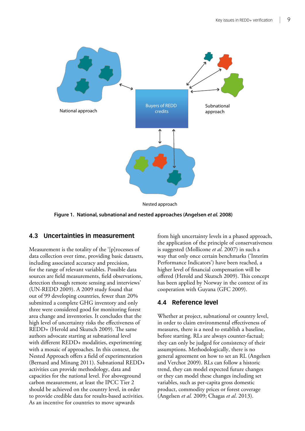<span id="page-16-0"></span>

**Figure 1. National, subnational and nested approaches (Angelsen** *et al.* **2008)**

#### **4.3 Uncertainties in measurement**

Measurement is the totality of the '[p]rocesses of data collection over time, providing basic datasets, including associated accuracy and precision, for the range of relevant variables. Possible data sources are field measurements, field observations, detection through remote sensing and interviews' (UN‑REDD 2009). A 2009 study found that out of 99 developing countries, fewer than 20% submitted a complete GHG inventory and only three were considered good for monitoring forest area change and inventories. It concludes that the high level of uncertainty risks the effectiveness of REDD+ (Herold and Skutsch 2009). The same authors advocate starting at subnational level with different REDD+ modalities, experimenting with a mosaic of approaches. In this context, the Nested Approach offers a field of experimentation (Bernard and Minang 2011). Subnational REDD+ activities can provide methodology, data and capacities for the national level. For aboveground carbon measurement, at least the IPCC Tier 2 should be achieved on the country level, in order to provide credible data for results-based activities. As an incentive for countries to move upwards

from high uncertainty levels in a phased approach, the application of the principle of conservativeness is suggested (Mollicone *et al*. 2007) in such a way that only once certain benchmarks ('Interim Performance Indicators') have been reached, a higher level of financial compensation will be offered (Herold and Skutsch 2009). This concept has been applied by Norway in the context of its cooperation with Guyana (GFC 2009).

### **4.4 Reference level**

Whether at project, subnational or country level, in order to claim environmental effectiveness of measures, there is a need to establish a baseline, before starting. RLs are always counter-factual; they can only be judged for consistency of their assumptions. Methodologically, there is no general agreement on how to set an RL (Angelsen and Verchot 2009). RLs can follow a historic trend, they can model expected future changes or they can model these changes including set variables, such as per-capita gross domestic product, commodity prices or forest coverage (Angelsen *et al.* 2009; Chagas *et al*. 2013).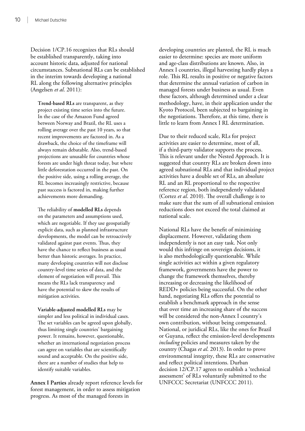Decision 1/CP.16 recognizes that RLs should be established transparently, taking into account historic data, adjusted for national circumstances. Subnational RLs can be established in the interim towards developing a national RL along the following alternative principles (Angelsen *et al*. 2011):

**Trend‑based RLs** are transparent, as they project existing time series into the future. In the case of the Amazon Fund agreed between Norway and Brazil, the RL uses a rolling average over the past 10 years, so that recent improvements are factored in. As a drawback, the choice of the timeframe will always remain debatable. Also, trend-based projections are unusable for countries whose forests are under high threat today, but where little deforestation occurred in the past. On the positive side, using a rolling average, the RL becomes increasingly restrictive, because past success is factored in, making further achievements more demanding.

The reliability of **modelled RLs** depends on the parameters and assumptions used, which are negotiable. If they use geospatially explicit data, such as planned infrastructure developments, the model can be retroactively validated against past events. Thus, they have the chance to reflect business as usual better than historic averages. In practice, many developing countries will not disclose country‑level time series of data, and the element of negotiation will prevail. This means the RLs lack transparency and have the potential to skew the results of mitigation activities.

**Variable‑adjusted modelled RLs** may be simpler and less political in individual cases. The set variables can be agreed upon globally, thus limiting single countries' bargaining power. It remains, however, questionable, whether an international negotiation process can agree on variables that are scientifically sound and acceptable. On the positive side, there are a number of studies that help to identify suitable variables.

**Annex I Parties** already report reference levels for forest management, in order to assess mitigation progress. As most of the managed forests in

developing countries are planted, the RL is much easier to determine: species are more uniform and age‑class distributions are known. Also, in Annex I countries, illegal harvesting hardly plays a role. This RL results in positive or negative factors that determine the annual variation of carbon in managed forests under business as usual. Even these factors, although determined under a clear methodology, have, in their application under the Kyoto Protocol, been subjected to bargaining in the negotiations. Therefore, at this time, there is little to learn from Annex I RL determination.

Due to their reduced scale, RLs for project activities are easier to determine, most of all, if a third‑party validator supports the process. This is relevant under the Nested Approach. It is suggested that country RLs are broken down into agreed subnational RLs and that individual project activities have a double set of RLs, an absolute RL and an RL proportional to the respective reference region, both independently validated (Cortez *et al*. 2010). The overall challenge is to make sure that the sum of all subnational emission reductions does not exceed the total claimed at national scale.

National RLs have the benefit of minimizing displacement. However, validating them independently is not an easy task. Not only would this infringe on sovereign decisions, it is also methodologically questionable. While single activities act within a given regulatory framework, governments have the power to change the framework themselves, thereby increasing or decreasing the likelihood of REDD+ policies being successful. On the other hand, negotiating RLs offers the potential to establish a benchmark approach in the sense that over time an increasing share of the success will be considered the non-Annex I country's own contribution, without being compensated. National, or juridical RLs, like the ones for Brazil or Guyana, reflect the emission‑level developments *including* policies and measures taken by the country (Chagas *et al*. 2013). In order to prove environmental integrity, these RLs are conservative and reflect political intentions. Durban decision 12/CP.17 agrees to establish a 'technical assessment' of RLs voluntarily submitted to the UNFCCC Secretariat (UNFCCC 2011).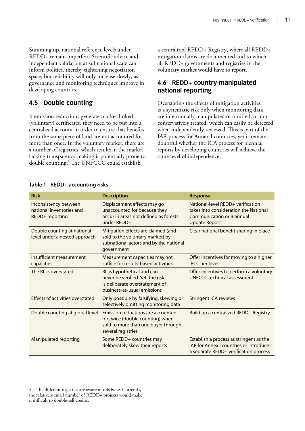<span id="page-18-0"></span>Summing up, national reference levels under REDD+ remain imperfect. Scientific advice and independent validation at subnational scale can inform politics, thereby tightening negotiation space, but reliability will only increase slowly, as governance and monitoring techniques improve in developing countries.

### **4.5 Double counting**

If emission reductions generate market-linked (voluntary) certificates, they need to be put into a centralized account in order to ensure that benefits from the same piece of land are not accounted for more than once. In the voluntary market, there are a number of registries, which results in the market lacking transparency making it potentially prone to double counting.5 The UNFCCC could establish

a centralized REDD+ Registry, where all REDD+ mitigation claims are documented and to which all REDD+ governments and registries in the voluntary market would have to report.

### **4.6 REDD+ country‑manipulated national reporting**

Overstating the effects of mitigation activities is a systematic risk only when monitoring data are intentionally manipulated or omitted, or not conservatively treated, which can easily be detected when independently reviewed. This is part of the IAR process for Annex I countries, yet it remains doubtful whether the ICA process for biennial reports by developing countries will achieve the same level of independence.

| <b>Risk</b>                                                          | <b>Description</b>                                                                                                                 | Response                                                                                                                               |
|----------------------------------------------------------------------|------------------------------------------------------------------------------------------------------------------------------------|----------------------------------------------------------------------------------------------------------------------------------------|
| Inconsistency between<br>national inventories and<br>REDD+ reporting | Displacement effects may go<br>unaccounted for because they<br>occur in areas not defined as forests<br>under REDD+                | National-level REDD+ verification<br>takes into consideration the National<br><b>Communication or Biannual</b><br><b>Update Report</b> |
| Double counting at national<br>level under a nested approach         | Mitigation effects are claimed (and<br>sold to the voluntary market) by<br>subnational actors and by the national<br>qovernment    | Clear national benefit sharing in place                                                                                                |
| Insufficient measurement<br>capacities                               | Measurement capacities may not<br>suffice for results-based activities                                                             | Offer incentives for moving to a higher<br><b>IPCC tier level</b>                                                                      |
| The RL is overstated                                                 | RL is hypothetical and can<br>never be verified. Yet, the risk<br>is deliberate overstatement of<br>business-as-usual emissions    | Offer incentives to perform a voluntary<br><b>UNFCCC technical assessment</b>                                                          |
| Effects of activities overstated                                     | Only possible by falsifying, skewing or<br>selectively omitting monitoring data                                                    | <b>Stringent ICA reviews</b>                                                                                                           |
| Double counting at global level                                      | Emission reductions are accounted<br>for twice (double counting) when<br>sold to more than one buyer through<br>several registries | Build up a centralized REDD+ Registry                                                                                                  |
| <b>Manipulated reporting</b>                                         | Some REDD+ countries may<br>deliberately skew their reports                                                                        | Establish a process as stringent as the<br><b>IAR for Annex I countries or introduce</b><br>a separate REDD+ verification process      |

#### **Table 1. REDD+ accounting risks**

<sup>5</sup> The different registries are aware of this issue. Currently, the relatively small number of REDD+ projects would make it difficult to double‑sell credits.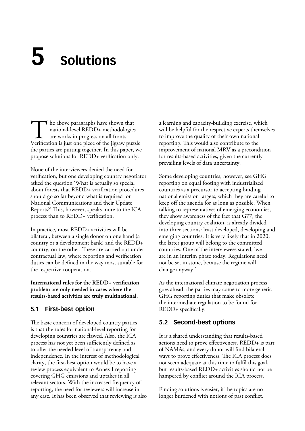## <span id="page-19-0"></span>**5 Solutions**

The above paragraphs have shown that<br>
national-level REDD+ methodologies<br>
are works in progress on all fronts.<br>
Verification is just one piece of the jigsaw puzzle national‑level REDD+ methodologies are works in progress on all fronts. the parties are putting together. In this paper, we propose solutions for REDD+ verification only.

None of the interviewees denied the need for verification, but one developing country negotiator asked the question 'What is actually so special about forests that REDD+ verification procedures should go so far beyond what is required for National Communications and their Update Reports?' This, however, speaks more to the ICA process than to REDD+ verification.

In practice, most REDD+ activities will be bilateral, between a single donor on one hand (a country or a development bank) and the REDD+ country, on the other. These are carried out under contractual law, where reporting and verification duties can be defined in the way most suitable for the respective cooperation.

**International rules for the REDD+ verification problem are only needed in cases where the results‑based activities are truly multinational.**

### **5.1 First‑best option**

The basic concern of developed country parties is that the rules for national-level reporting for developing countries are flawed. Also, the ICA process has not yet been sufficiently defined as to offer the needed level of transparency and independence. In the interest of methodological clarity, the first‑best option would be to have a review process equivalent to Annex I reporting covering GHG emissions and uptakes in all relevant sectors. With the increased frequency of reporting, the need for reviewers will increase in any case. It has been observed that reviewing is also a learning and capacity‑building exercise, which will be helpful for the respective experts themselves to improve the quality of their own national reporting. This would also contribute to the improvement of national MRV as a precondition for results‑based activities, given the currently prevailing levels of data uncertainty.

Some developing countries, however, see GHG reporting on equal footing with industrialized countries as a precursor to accepting binding national emission targets, which they are careful to keep off the agenda for as long as possible. When talking to representatives of emerging economies, they show awareness of the fact that G77, the developing country coalition, is already divided into three sections: least developed, developing and emerging countries. It is very likely that in 2020, the latter group will belong to the committed countries. One of the interviewees stated, 'we are in an interim phase today. Regulations need not be set in stone, because the regime will change anyway.'

As the international climate negotiation process goes ahead, the parties may come to more generic GHG reporting duties that make obsolete the intermediate regulation to be found for REDD+ specifically.

### **5.2 Second‑best options**

It is a shared understanding that results-based actions need to prove effectiveness. REDD+ is part of NAMAs, and every donor will find bilateral ways to prove effectiveness. The ICA process does not seem adequate at this time to fulfil this goal, but results‑based REDD+ activities should not be hampered by conflict around the ICA process.

Finding solutions is easier, if the topics are no longer burdened with notions of past conflict.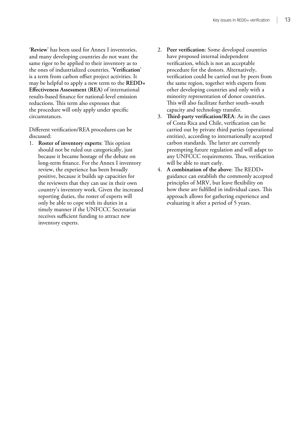'**Review**' has been used for Annex I inventories, and many developing countries do not want the same rigor to be applied to their inventory as to the ones of industrialized countries. '**Verification**' is a term from carbon offset project activities. It may be helpful to apply a new term to the **REDD+ Effectiveness Assessment (REA)** of international results‑based finance for national‑level emission reductions. This term also expresses that the procedure will only apply under specific circumstances.

Different verification/REA procedures can be discussed:

- 1. **Roster of inventory experts**: This option should not be ruled out categorically, just because it became hostage of the debate on long-term finance. For the Annex I inventory review, the experience has been broadly positive, because it builds up capacities for the reviewers that they can use in their own country's inventory work. Given the increased reporting duties, the roster of experts will only be able to cope with its duties in a timely manner if the UNFCCC Secretariat receives sufficient funding to attract new inventory experts.
- 2. **Peer verification**: Some developed countries have proposed internal independent verification, which is not an acceptable procedure for the donors. Alternatively, verification could be carried out by peers from the same region, together with experts from other developing countries and only with a minority representation of donor countries. This will also facilitate further south–south capacity and technology transfer.
- 3. **Third‑party verification/REA**: As in the cases of Costa Rica and Chile, verification can be carried out by private third parties (operational entities), according to internationally accepted carbon standards. The latter are currently preempting future regulation and will adapt to any UNFCCC requirements. Thus, verification will be able to start early.
- 4. **A combination of the above**: The REDD+ guidance can establish the commonly accepted principles of MRV, but leave flexibility on how these are fulfilled in individual cases. This approach allows for gathering experience and evaluating it after a period of 5 years.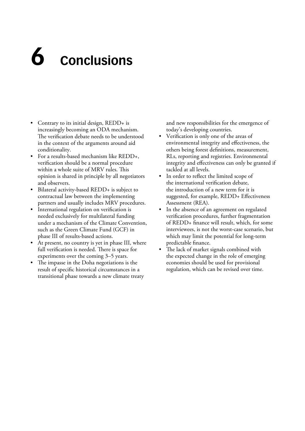## <span id="page-21-0"></span>**6 Conclusions**

- Contrary to its initial design, REDD+ is increasingly becoming an ODA mechanism. The verification debate needs to be understood in the context of the arguments around aid conditionality.
- For a results-based mechanism like REDD+, verification should be a normal procedure within a whole suite of MRV rules. This opinion is shared in principle by all negotiators and observers.
- Bilateral activity-based REDD+ is subject to contractual law between the implementing partners and usually includes MRV procedures.
- International regulation on verification is needed exclusively for multilateral funding under a mechanism of the Climate Convention, such as the Green Climate Fund (GCF) in phase III of results-based actions.
- At present, no country is yet in phase III, where full verification is needed. There is space for experiments over the coming 3–5 years.
- The impasse in the Doha negotiations is the result of specific historical circumstances in a transitional phase towards a new climate treaty

and new responsibilities for the emergence of today's developing countries.

- Verification is only one of the areas of environmental integrity and effectiveness, the others being forest definitions, measurement, RLs, reporting and registries. Environmental integrity and effectiveness can only be granted if tackled at all levels.
- In order to reflect the limited scope of the international verification debate, the introduction of a new term for it is suggested, for example, REDD+ Effectiveness Assessment (REA).
- In the absence of an agreement on regulated verification procedures, further fragmentation of REDD+ finance will result, which, for some interviewees, is not the worst-case scenario, but which may limit the potential for long-term predictable finance.
- The lack of market signals combined with the expected change in the role of emerging economies should be used for provisional regulation, which can be revised over time.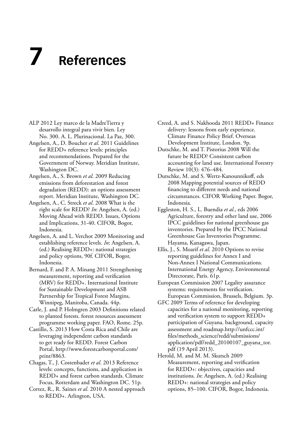## <span id="page-22-0"></span>**7 References**

- ALP 2012 Ley marco de la MadreTierra y desarrollo integral para vivir bien. Ley No. 300. A. L. Plurinacional. La Paz, 300.
- Angelsen, A., D. Boucher *et al*. 2011 Guidelines for REDD+ reference levels: principles and recommendations. Prepared for the Government of Norway. Meridian Institute, Washington DC.
- Angelsen, A., S. Brown *et al*. 2009 Reducing emissions from deforestation and forest degradation (REDD): an options assessment report. Meridian Institute, Washington DC.
- Angelsen, A., C. Streck *et al*. 2008 What is the right scale for REDD? *In*: Angelsen, A. (ed.) Moving Ahead with REDD. Issues, Options and Implications, 31‑40. CIFOR, Bogor, Indonesia.
- Angelsen, A. and L. Verchot 2009 Monitoring and establishing reference levels. *In*: Angelsen, A. (ed.) Realising REDD+: national strategies and policy options, 90f. CIFOR, Bogor, Indonesia.
- Bernard, F. and P. A. Minang 2011 Strengthening measurement, reporting and verification (MRV) for REDD+. International Institute for Sustainable Development and ASB Partnership for Tropical Forest Margins, Winnipeg, Manitoba, Canada. 44p.
- Carle, J. and P. Holmgren 2003 Definitions related to planted forests. forest resources assessment programme working paper. FAO, Rome. 25p.
- Castillo, S. 2013 How Costa Rica and Chile are leveraging independent carbon standards to get ready for REDD. Forest Carbon Portal, [http://www.forestcarbonportal.com/](http://www.forestcarbonportal.com/print/8863) [print/8863](http://www.forestcarbonportal.com/print/8863).
- Chagas, T., J. Costenbader *et al*. 2013 Reference levels: concepts, functions, and application in REDD+ and forest carbon standards. Climate Focus, Rotterdam and Washington DC. 51p.
- Cortez, R., R. Saines *et al*. 2010 A nested approach to REDD+. Arlington, USA.

Creed, A. and S. Nakhooda 2011 REDD+ Finance delivery: lessons from early experience. Climate Finance Policy Brief. Overseas Development Institute, London. 9p.

- Dutschke, M. and T. Pistorius 2008 Will the future be REDD? Consistent carbon accounting for land use. International Forestry Review 10(3): 476–484.
- Dutschke, M. and S. Wertz‑Kanounnikoff, eds 2008 Mapping potential sources of REDD financing to different needs and national circumstances. CIFOR Working Paper. Bogor, Indonesia.
- Eggleston, H. S., L. Buendia *et al*., eds 2006 Agriculture, forestry and other land use, 2006 IPCC guidelines for national greenhouse gas inventories. Prepared by the IPCC National Greenhouse Gas Inventories Programme. Hayama, Kanagawa, Japan.
- Ellis, J., S. Moarif *et al*. 2010 Options to revise reporting guidelines for Annex I and Non‑Annex I National Communications. International Energy Agency, Environmental Directorate, Paris. 61p.
- European Commission 2007 Legality assurance systems: requirements for verification. European Commission, Brussels, Belgium. 3p.
- GFC 2009 Terms of reference for developing capacities for a national monitoring, reporting and verification system to support REDD+ participation of Guyana. background, capacity assessment and roadmap.[http://unfccc.int/](http://unfccc.int/files/methods_science/redd/submissions/application/pdf/redd_20100107_guyana_tor.pdf) [files/methods\\_science/redd/submissions/](http://unfccc.int/files/methods_science/redd/submissions/application/pdf/redd_20100107_guyana_tor.pdf) [application/pdf/redd\\_20100107\\_guyana\\_tor.](http://unfccc.int/files/methods_science/redd/submissions/application/pdf/redd_20100107_guyana_tor.pdf) [pdf](http://unfccc.int/files/methods_science/redd/submissions/application/pdf/redd_20100107_guyana_tor.pdf) (19 April 2013).
- Herold, M. and M. M. Skutsch 2009 Measurement, reporting and verification for REDD+: objectives, capacities and institutions. *In*: Angelsen, A. (ed.) Realising REDD+: national strategies and policy options, 85–100. CIFOR, Bogor, Indonesia.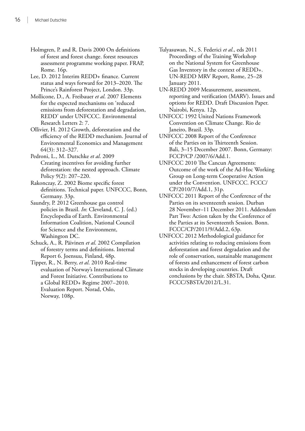- Holmgren, P. and R. Davis 2000 On definitions of forest and forest change. forest resources assessment programme working paper. FRAP, Rome. 16p.
- Lee, D. 2012 Interim REDD+ finance. Current status and ways forward for 2013–2020. The Prince's Rainforest Project, London. 33p.
- Mollicone, D., A. Freibauer *et al*. 2007 Elements for the expected mechanisms on 'reduced emissions from deforestation and degradation, REDD' under UNFCCC. Environmental Research Letters 2: 7.
- Ollivier, H. 2012 Growth, deforestation and the efficiency of the REDD mechanism. Journal of Environmental Economics and Management 64(3): 312–327.
- Pedroni, L., M. Dutschke *et al*. 2009 Creating incentives for avoiding further deforestation: the nested approach. Climate Policy 9(2): 207–220.
- Rakonczay, Z. 2002 Biome specific forest definitions. Technical paper. UNFCCC, Bonn, Germany. 33p.
- Saundry, P. 2012 Greenhouse gas control policies in Brazil. *In*: Cleveland, C. J. (ed.) Encyclopedia of Earth. Environmental Information Coalition, National Council for Science and the Environment, Washington DC.
- Schuck, A., R. Päivinen *et al*. 2002 Compilation of forestry terms and definitions. Internal Report 6. Joensuu, Finland, 48p.
- Tipper, R., N. Berry, et al. 2010 Real-time evaluation of Norway's International Climate and Forest Initiative. Contributions to a Global REDD+ Regime 2007–2010. Evaluation Report. Norad, Oslo, Norway, 108p.
- Tulyasuwan, N., S. Federici *et al*., eds 2011 Proceedings of the Training Workshop on the National System for Greenhouse Gas Inventory in the context of REDD+. UN‑REDD MRV Report, Rome, 25–28 January 2011.
- UN‑REDD 2009 Measurement, assessment, reporting and verification (MARV). Issues and options for REDD. Draft Discussion Paper. Nairobi, Kenya. 12p.
- UNFCCC 1992 United Nations Framework Convention on Climate Change. Rio de Janeiro, Brazil. 33p.
- UNFCCC 2008 Report of the Conference of the Parties on its Thirteenth Session. Bali, 3–15 December 2007. Bonn, Germany: FCCP/CP /2007/6/Add.1.
- UNFCCC 2010 The Cancun Agreements: Outcome of the work of the Ad‑Hoc Working Group on Long‑term Cooperative Action under the Convention. UNFCCC. FCCC/ CP/2010/7/Add.1, 31p.
- UNFCCC 2011 Report of the Conference of the Parties on its seventeenth session. Durban 28 November–11 December 2011. Addendum Part Two: Action taken by the Conference of the Parties at its Seventeenth Session. Bonn. FCCC/CP/2011/9/Add.2, 63p.
- UNFCCC 2012 Methodological guidance for activities relating to reducing emissions from deforestation and forest degradation and the role of conservation, sustainable management of forests and enhancement of forest carbon stocks in developing countries. Draft conclusions by the chair. SBSTA, Doha, Qatar. FCCC/SBSTA/2012/L.31.